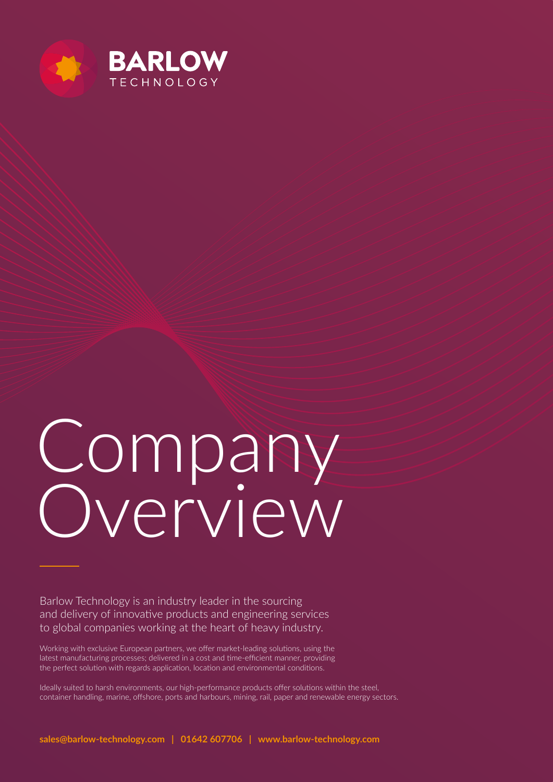

# Company Overview

Barlow Technology is an industry leader in the sourcing and delivery of innovative products and engineering services to global companies working at the heart of heavy industry.

Working with exclusive European partners, we offer market-leading solutions, using the latest manufacturing processes; delivered in a cost and time-efficient manner, providing the perfect solution with regards application, location and environmental conditions.

Ideally suited to harsh environments, our high-performance products offer solutions within the steel, container handling, marine, offshore, ports and harbours, mining, rail, paper and renewable energy sectors.